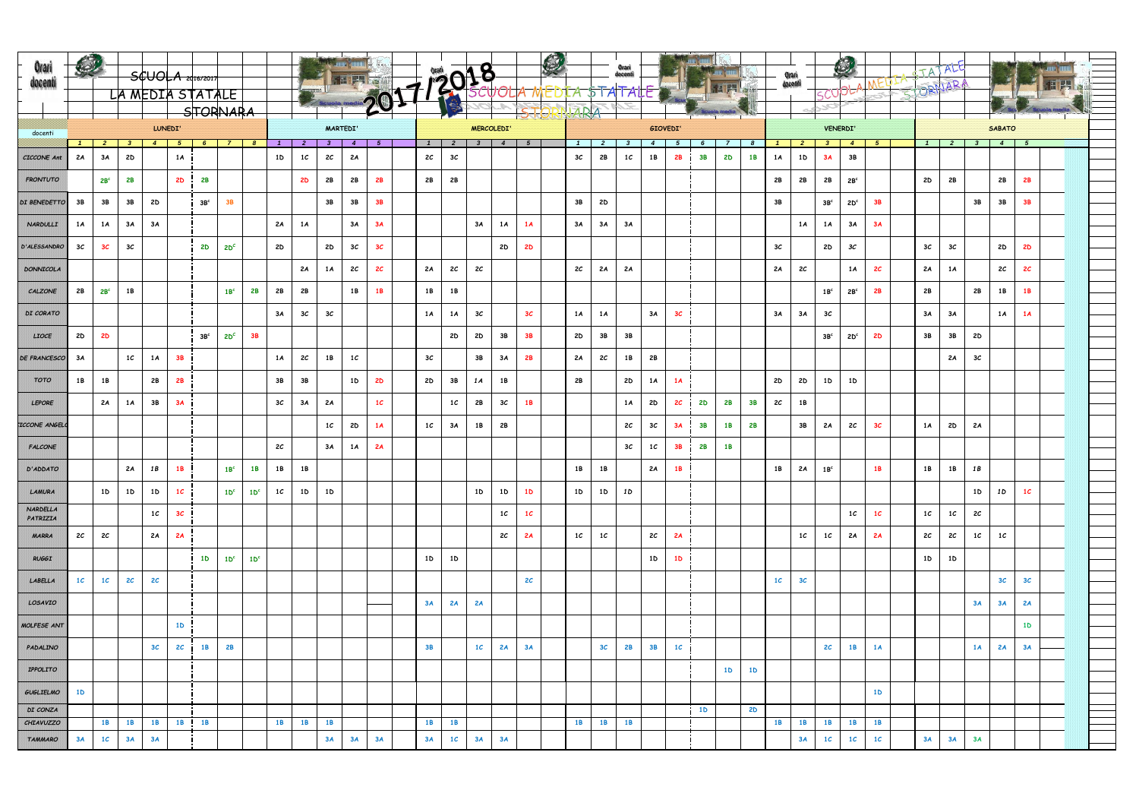| Orari<br>docenti            |                                  |                 |                |                |                 | $SUOLA$ 2016/2017 |                 |                 |                |                 |                | <b>E PLAN</b>   |                |                   |                |                |       |                |                |                |                            |                |                |           |                |                |                | Orari<br>docenti | <b>ISCUOL!</b>  | C               |                |  | TATALE<br>STORNARA |                |                |                |                |  |  |
|-----------------------------|----------------------------------|-----------------|----------------|----------------|-----------------|-------------------|-----------------|-----------------|----------------|-----------------|----------------|-----------------|----------------|-------------------|----------------|----------------|-------|----------------|----------------|----------------|----------------------------|----------------|----------------|-----------|----------------|----------------|----------------|------------------|-----------------|-----------------|----------------|--|--------------------|----------------|----------------|----------------|----------------|--|--|
|                             | LA MEDIA STATALE<br>$-$ STORNARA |                 |                |                |                 |                   |                 |                 |                |                 |                |                 |                | Orani docenti     |                |                | STOR  |                | NARA           |                |                            |                |                |           |                |                |                |                  | 10              |                 |                |  |                    |                |                |                |                |  |  |
|                             | LUNEDI'<br>docenti               |                 |                |                |                 |                   |                 |                 |                | <b>MARTEDI'</b> |                |                 |                | <b>MERCOLEDI'</b> |                |                |       |                |                |                |                            |                | GIOVEDI'       |           |                |                |                |                  | <b>VENERDI'</b> |                 |                |  |                    |                | <b>SABATO</b>  |                |                |  |  |
|                             | $\mathbf{1}$                     |                 | 2 3 4 5 6 7 8  |                |                 |                   |                 |                 | $\overline{1}$ | $\overline{2}$  | 3 <sup>1</sup> | $\sim$ 4 $\mid$ | $-5$           | $\mathbf{1}$      | $\overline{2}$ |                | 3 4 5 |                | $1 \quad 2$    |                | $\overline{\phantom{a}}$ 3 | $\overline{4}$ | - 5            | 6         | $\overline{z}$ | - 8            |                |                  | 1 2 3 4 5       |                 |                |  |                    |                | 1 2 3 4 5      |                |                |  |  |
| <b>CICCONE Ant</b>          | 2A                               | 3A              | 2D             |                | 1A              |                   |                 |                 | 1 <sub>D</sub> | 1C              | 2C             | 2A              |                | 2C                | 3 <sub>c</sub> |                |       |                | 3C             | 2B             | 1C                         | 1 B            | <b>2B</b> i    | 3B        | 2D             | 1B             | 1A             | 1 <sub>D</sub>   | 3A              | 3B              |                |  |                    |                |                |                |                |  |  |
| <b>FRONTUTO</b>             |                                  | 2B <sup>c</sup> | 2B             |                | 2D              | 2B                |                 |                 |                | <b>2D</b>       | 2B             | 2B              | 2B             | 2B                | 2B             |                |       |                |                |                |                            |                |                |           |                |                | 2B             | 2B               | 2B              | 2B <sup>c</sup> |                |  | 2D                 | 2B             |                | 2B             | 2B             |  |  |
| DI BENEDETTO                | 3B                               | 3B              | 3B             | 2D             |                 | 3B <sup>c</sup>   | <b>3B</b>       |                 |                |                 | 3B             | 3B              | 3B             |                   |                |                |       |                | 3B             | 2D             |                            |                |                |           |                |                | 3B             |                  | 3B <sup>c</sup> | 2D <sup>c</sup> | 3B             |  |                    |                | 3B             | 3B             | <b>3B</b>      |  |  |
| <b>NARDULLI</b>             | 1A                               | 1A              | 3A             | 3A             |                 |                   |                 |                 | 2A             | 1A              |                | 3A              | 3A             |                   |                | 3A             | 1A    | 1A             | 3A             | 3A             | 3A                         |                |                |           |                |                |                | 1A               | 1A              | 3A              | 3A             |  |                    |                |                |                |                |  |  |
| D'ALESSANDRO                | 3 <sub>c</sub>                   | 3 <sub>C</sub>  | 3 <sub>c</sub> |                |                 | <b>2D</b>         | $2D^{c}$        |                 | 2D             |                 | 2D             | 3 <sub>c</sub>  | 3 <sub>C</sub> |                   |                |                | 2D    | <b>2D</b>      |                |                |                            |                |                |           |                |                | 3 <sub>c</sub> |                  | 2D              | 3C              |                |  | 3 <sub>c</sub>     | 3 <sub>c</sub> |                | 2D             | <b>2D</b>      |  |  |
| <b>DONNICOLA</b>            |                                  |                 |                |                |                 |                   |                 |                 |                | 2A              | 1A             | 2C              | 2 <sub>c</sub> | 2A                | 2c             | 2 <sub>c</sub> |       |                | 2C             | 2A             | 2A                         |                |                |           |                |                | 2A             | 2 <sub>c</sub>   |                 | 1A              | 2 <sup>c</sup> |  | 2A                 | 1A             |                | 2C             | 2 <sup>c</sup> |  |  |
| CALZONE                     | 2B                               | 2B <sup>c</sup> | 1B             |                |                 |                   | 1B <sup>c</sup> | 2B              | 2B             | 2B              |                | 1B              | 1 <b>B</b>     | 1B                | 1B             |                |       |                |                |                |                            |                |                |           |                |                |                |                  | 1B <sup>c</sup> | 2B <sup>c</sup> | 2B             |  | 2B                 |                | 2B             | 1 B            | 1B             |  |  |
| DI CORATO                   |                                  |                 |                |                |                 |                   |                 |                 | 3A             | 3 <sub>c</sub>  | 3C             |                 |                | 1A                | 1 A            | 3 <sub>c</sub> |       | 3 <sup>c</sup> | 1A             | 1A             |                            | 3A             | 3 <sub>c</sub> |           |                |                | 3A             | 3A               | 3 <sub>c</sub>  |                 |                |  | 3A                 | 3A             |                | 1A             | 1A             |  |  |
| LIOCE                       | 2D                               | 2D              |                |                |                 | 3B <sup>c</sup>   | $2D^{c}$        | 3B              |                |                 |                |                 |                |                   | 2D             | 2D             | 3B    | <b>3B</b>      | 2D             | 3B             | 3B                         |                |                |           |                |                |                |                  | 3B <sup>c</sup> | 2D <sup>c</sup> | <b>2D</b>      |  | 3B                 | 3B             | 2D             |                |                |  |  |
| <b>DE FRANCESCO</b>         | 3A                               |                 | 1 <sub>c</sub> | 1A             | <b>3B</b>       |                   |                 |                 | 1A             | 2 <sub>c</sub>  | 1B             | 1C              |                | 3 <sub>c</sub>    |                | 3B             | 3A    | 2B             | 2A             | 2C             | 1B                         | 2B             |                |           |                |                |                |                  |                 |                 |                |  |                    | 2A             | 3 <sub>c</sub> |                |                |  |  |
| ТОТО                        | 1 B                              | 1 B             |                | 2B             | 2B              |                   |                 |                 | 3B             | 3B              |                | 1 D             | <b>2D</b>      | <b>2D</b>         | 3B             | 1 A            | 1B    |                | 2B             |                | 2D                         | 1A             | 1A             |           |                |                | 2D             | 2D               | 1 <sub>D</sub>  | 1 <sub>D</sub>  |                |  |                    |                |                |                |                |  |  |
| <b>LEPORE</b>               |                                  | 2A              | 1A             | 3B             | 3A              |                   |                 |                 | 3 <sub>c</sub> | 3A              | 2A             |                 | 1 <sub>C</sub> |                   | 1C             | 2B             | 3C    | <b>1B</b>      |                |                | 1A                         | 2D             | 2 <sub>c</sub> | <b>2D</b> | 2B             | 3B             | 2 <sub>c</sub> | 1B               |                 |                 |                |  |                    |                |                |                |                |  |  |
| <b>ICCONE ANGELO</b>        |                                  |                 |                |                |                 |                   |                 |                 |                |                 | 1 <sub>C</sub> | 2D              | 1A             | 1 <sub>C</sub>    | 3A             | 1B             | 2B    |                |                |                | 2 <sub>c</sub>             | 3 <sub>C</sub> | 3A             | <b>3B</b> | 1 <b>B</b>     | 2B             |                | 3B               | 2A              | 2C              | 3 <sub>c</sub> |  | 1A                 | 2D             | 2A             |                |                |  |  |
| <b>FALCONE</b>              |                                  |                 |                |                |                 |                   |                 |                 | 2 <sub>c</sub> |                 | 3A             | 1 A             | 2A             |                   |                |                |       |                |                |                | 3 <sub>c</sub>             | 1 <sub>C</sub> | 3B             | 2B        | 1B             |                |                |                  |                 |                 |                |  |                    |                |                |                |                |  |  |
| D'ADDATO                    |                                  |                 | 2A             | 1 B            | 1B              |                   | 1B <sup>c</sup> | <b>1B</b>       | 1 B            | 1B              |                |                 |                |                   |                |                |       |                | 1B             | <b>1B</b>      |                            | 2A             | 1 <b>B</b>     |           |                |                | 1 B            | 2A               | 1B <sup>c</sup> |                 | 1 B            |  | 1B                 | 1 B            | 1 B            |                |                |  |  |
| LAMURA                      |                                  | 1 <sub>D</sub>  | 1 <sub>D</sub> | 1 <sub>D</sub> | 1C              |                   | 1D <sup>c</sup> | 1D <sup>c</sup> | 1C             | 1D              | 1 <sub>D</sub> |                 |                |                   |                | 1 <sub>D</sub> | 1D    | 1 <sub>D</sub> | 1 <sub>D</sub> | 1D             | 1 D                        |                |                |           |                |                |                |                  |                 |                 |                |  |                    |                | 1 <sub>D</sub> | 1D             | 1 <sub>C</sub> |  |  |
| <b>NARDELLA</b><br>PATRIZIA |                                  |                 |                | 1C             | 3C              |                   |                 |                 |                |                 |                |                 |                |                   |                |                | 1C    | 1 <sub>C</sub> |                |                |                            |                |                |           |                |                |                |                  |                 | 1C              | 1 <sub>C</sub> |  | 1C                 | 1C             | 2C             |                |                |  |  |
| <b>MARRA</b>                | 2C                               | 2C              |                | 2A             | 2A              |                   |                 |                 |                |                 |                |                 |                |                   |                |                | 2C    | 2A             | 1C             | $1\mathcal{C}$ |                            | 2C             | 2A             |           |                |                |                | 1 <sub>C</sub>   | 1C              | 2A              | 2A             |  | 2C                 | 2C             | 1C             | 1C             |                |  |  |
| <b>RUGGI</b>                |                                  |                 |                |                |                 | 1 <sub>D</sub>    | 1D <sup>c</sup> | 1D <sup>c</sup> |                |                 |                |                 |                | 1 <sub>D</sub>    | 1 <sub>D</sub> |                |       |                |                |                |                            | 1 <sub>D</sub> | 1D             |           |                |                |                |                  |                 |                 |                |  | 1D                 | 1 <sub>D</sub> |                |                |                |  |  |
| LABELLA                     | 1 <sub>C</sub>                   | 1 <sub>C</sub>  | 2 <sub>c</sub> | 2C             |                 |                   |                 |                 |                |                 |                |                 |                |                   |                |                |       | 2 <sub>c</sub> |                |                |                            |                |                |           |                |                | 1 <sub>C</sub> | 3 <sub>c</sub>   |                 |                 |                |  |                    |                |                | 3 <sub>c</sub> | 3 <sub>c</sub> |  |  |
| LOSAVIO                     |                                  |                 |                |                |                 |                   |                 |                 |                |                 |                |                 |                | 3A                | 2A             | 2A             |       |                |                |                |                            |                |                |           |                |                |                |                  |                 |                 |                |  |                    |                | 3A             | 3A             | 2A             |  |  |
| MOLFESE ANT                 |                                  |                 |                |                | 1 <sub>D</sub>  |                   |                 |                 |                |                 |                |                 |                |                   |                |                |       |                |                |                |                            |                |                |           |                |                |                |                  |                 |                 |                |  |                    |                |                |                | 1 <sub>D</sub> |  |  |
| PADALINO                    |                                  |                 |                | 3 <sub>c</sub> | 2C <sub>1</sub> | <b>1B</b>         | 2B              |                 |                |                 |                |                 |                | <b>3B</b>         |                | 1 <sub>C</sub> | 2A    | 3A             |                | 3 <sub>c</sub> | 2B                         | 3B             | 1C             |           |                |                |                |                  | 2 <sub>c</sub>  | <b>1B</b>       | 1A             |  |                    |                | 1A             | 2A             | 3A             |  |  |
| <b>IPPOLITO</b>             |                                  |                 |                |                |                 |                   |                 |                 |                |                 |                |                 |                |                   |                |                |       |                |                |                |                            |                |                |           | 1 <b>D</b>     | 1 <sub>D</sub> |                |                  |                 |                 |                |  |                    |                |                |                |                |  |  |
| <b>GUGLIELMO</b>            | 1 <sub>D</sub>                   |                 |                |                |                 |                   |                 |                 |                |                 |                |                 |                |                   |                |                |       |                |                |                |                            |                |                |           |                |                |                |                  |                 |                 | 1 <sub>D</sub> |  |                    |                |                |                |                |  |  |
| DI CONZA                    |                                  |                 |                |                |                 |                   |                 |                 |                |                 |                |                 |                |                   |                |                |       |                |                |                |                            |                |                | <b>1D</b> |                | <b>2D</b>      |                |                  |                 |                 |                |  |                    |                |                |                |                |  |  |
| <b>CHIAVUZZO</b>            |                                  | 1 <b>B</b>      | <b>1B</b>      | <b>1B</b>      |                 | 1B 1B             |                 |                 | <b>1B</b>      | <b>1B</b>       | <b>1B</b>      |                 |                | <b>1B</b>         | <b>1B</b>      |                |       |                | <b>1B</b>      | <b>1B</b>      | 1 <b>B</b>                 |                |                |           |                |                | <b>1B</b>      | <b>1B</b>        | <b>1B</b>       | <b>1B</b>       | <b>1B</b>      |  |                    |                |                |                |                |  |  |
| <b>TAMMARO</b>              | 3A                               | 1 <sub>C</sub>  | 3A             | 3A             |                 |                   |                 |                 |                |                 | 3A             | 3A              | 3A             | 3A                | 1 <sub>C</sub> | 3A             | 3A    |                |                |                |                            |                |                |           |                |                |                | 3A               | 1 <sub>C</sub>  | 1 <sup>C</sup>  | 1 <sup>C</sup> |  | 3A                 | 3A             | 3A             |                |                |  |  |